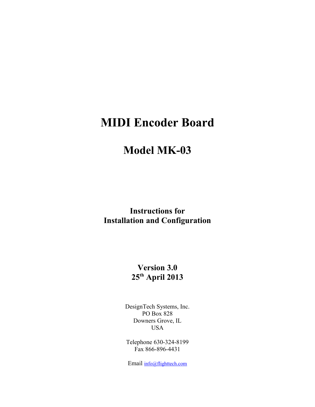# **MIDI Encoder Board**

# **Model MK-03**

**Instructions for Installation and Configuration**

# **Version 3.0 25th April 2013**

DesignTech Systems, Inc. PO Box 828 Downers Grove, IL USA

Telephone 630-324-8199 Fax 866-896-4431

Email info@flighttech.com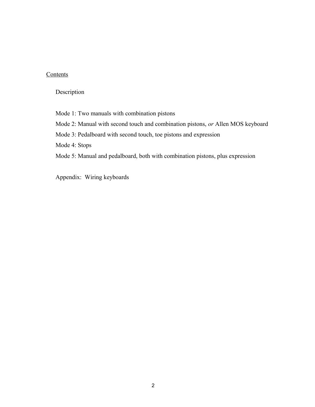### **Contents**

Description

Mode 1: Two manuals with combination pistons

Mode 2: Manual with second touch and combination pistons, *or* Allen MOS keyboard

Mode 3: Pedalboard with second touch, toe pistons and expression

Mode 4: Stops

Mode 5: Manual and pedalboard, both with combination pistons, plus expression

Appendix: Wiring keyboards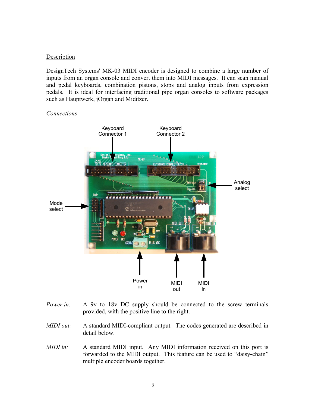#### **Description**

DesignTech Systems' MK-03 MIDI encoder is designed to combine a large number of inputs from an organ console and convert them into MIDI messages. It can scan manual and pedal keyboards, combination pistons, stops and analog inputs from expression pedals. It is ideal for interfacing traditional pipe organ consoles to software packages such as Hauptwerk, jOrgan and Miditzer.



#### *Connections*

- *Power in:* A 9y to 18y DC supply should be connected to the screw terminals provided, with the positive line to the right.
- *MIDI out:* A standard MIDI-compliant output. The codes generated are described in detail below.
- *MIDI in:* A standard MIDI input. Any MIDI information received on this port is forwarded to the MIDI output. This feature can be used to "daisy-chain" multiple encoder boards together.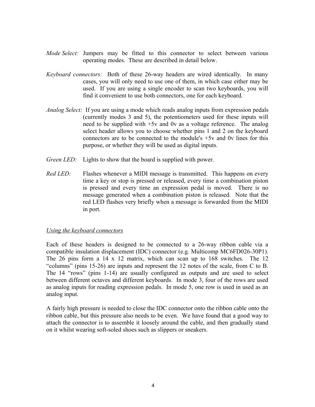- *Mode Select:* Jumpers may be fitted to this connector to select between various operating modes. These are described in detail below.
- *Keyboard connectors:* Both of these 26-way headers are wired identically. In many cases, you will only need to use one of them, in which case either may be used. If you are using a single encoder to scan two keyboards, you will find it convenient to use both connectors, one for each keyboard.
- *Analog Select:* If you are using a mode which reads analog inputs from expression pedals (currently modes 3 and 5), the potentiometers used for these inputs will need to be supplied with +5v and 0v as a voltage reference. The analog select header allows you to choose whether pins 1 and 2 on the keyboard connectors are to be connected to the module's +5v and 0v lines for this purpose, or whether they will be used as digital inputs.
- *Green LED:* Lights to show that the board is supplied with power.
- *Red LED*: Flashes whenever a MIDI message is transmitted. This happens on every time a key or stop is pressed or released, every time a combination piston is pressed and every time an expression pedal is moved. There is no message generated when a combination piston is released. Note that the red LED flashes very briefly when a message is forwarded from the MIDI in port.

#### *Using the keyboard connectors*

Each of these headers is designed to be connected to a 26-way ribbon cable via a compatible insulation displacement (IDC) connector (e.g. Multicomp MC6FD026-30P1). The 26 pins form a 14 x 12 matrix, which can scan up to 168 switches. The 12 "columns" (pins 15-26) are inputs and represent the 12 notes of the scale, from C to B. The 14 "rows" (pins 1-14) are usually configured as outputs and are used to select between different octaves and different keyboards. In mode 3, four of the rows are used as analog inputs for reading expression pedals. In mode 5, one row is used in used as an analog input.

A fairly high pressure is needed to close the IDC connector onto the ribbon cable onto the ribbon cable, but this pressure also needs to be even. We have found that a good way to attach the connector is to assemble it loosely around the cable, and then gradually stand on it whilst wearing soft-soled shoes such as slippers or sneakers.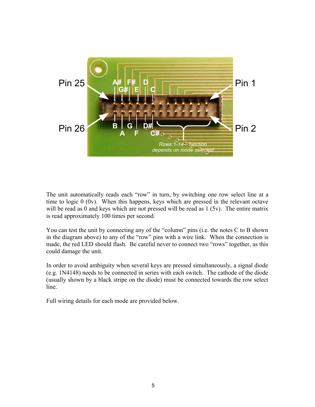

The unit automatically reads each "row" in turn, by switching one row select line at a time to logic 0 (0v). When this happens, keys which are pressed in the relevant octave will be read as 0 and keys which are not pressed will be read as 1 (5v). The entire matrix is read approximately 100 times per second.

You can test the unit by connecting any of the "column" pins (i.e. the notes C to B shown in the diagram above) to any of the "row" pins with a wire link. When the connection is made, the red LED should flash. Be careful never to connect two "rows" together, as this could damage the unit.

In order to avoid ambiguity when several keys are pressed simultaneously, a signal diode (e.g. 1N4148) needs to be connected in series with each switch. The cathode of the diode (usually shown by a black stripe on the diode) must be connected towards the row select line.

Full wiring details for each mode are provided below.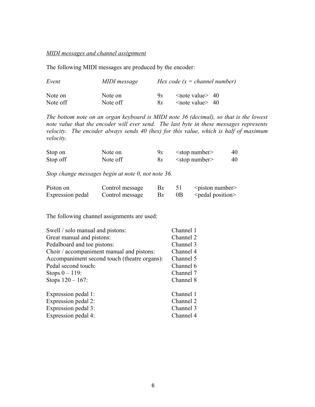### *MIDI messages and channel assignment*

The following MIDI messages are produced by the encoder:

| Event    | MIDI message<br>Note on | Hex code $(x = channel number)$ |                          |  |  |
|----------|-------------------------|---------------------------------|--------------------------|--|--|
| Note on  |                         | 9r                              | $\leq$ note value $> 40$ |  |  |
| Note off | Note off                | 8x                              | $\leq$ note value $> 40$ |  |  |

*The bottom note on an organ keyboard is MIDI note 36 (decimal), so that is the lowest note value that the encoder will ever send. The last byte in these messages represents velocity. The encoder always sends 40 (hex) for this value, which is half of maximum velocity.*

| Stop on  | Note on  | 9х | $\leq$ stop number $\geq$ | 40 |  |
|----------|----------|----|---------------------------|----|--|
| Stop off | Note off | 8x | $\leq$ stop number $\geq$ | 40 |  |

*Stop change messages begin at note 0, not note 36.*

| Piston on        | Control message | $\mathbf{B}\mathbf{x}$ |    | $\leq$ piston number $\geq$ |
|------------------|-----------------|------------------------|----|-----------------------------|
| Expression pedal | Control message | $\mathbf{B}\mathbf{x}$ | 0B | <pedal position=""></pedal> |

The following channel assignments are used:

| Swell / solo manual and pistons:             | Channel 1 |
|----------------------------------------------|-----------|
| Great manual and pistons:                    | Channel 2 |
| Pedalboard and toe pistons:                  | Channel 3 |
| Choir / accompaniment manual and pistons:    | Channel 4 |
| Accompaniment second touch (theatre organs): | Channel 5 |
| Pedal second touch:                          | Channel 6 |
| Stops $0 - 119$ :                            | Channel 7 |
| Stops $120 - 167$ :                          | Channel 8 |
| Expression pedal 1:                          | Channel 1 |
| Expression pedal 2:                          | Channel 2 |
| Expression pedal 3:                          | Channel 3 |
| Expression pedal 4:                          | Channel 4 |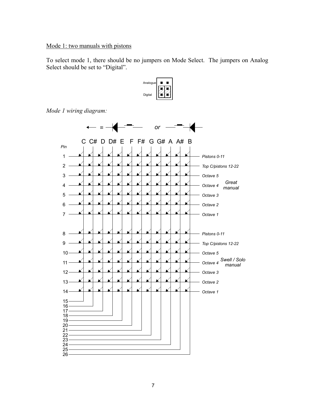## Mode 1: two manuals with pistons

To select mode 1, there should be no jumpers on Mode Select. The jumpers on Analog Select should be set to "Digital".

![](_page_6_Figure_2.jpeg)

*Mode 1 wiring diagram:*

![](_page_6_Figure_4.jpeg)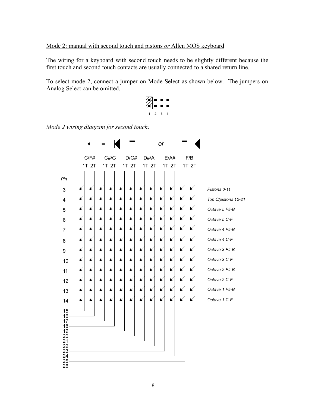#### Mode 2: manual with second touch and pistons *or* Allen MOS keyboard

The wiring for a keyboard with second touch needs to be slightly different because the first touch and second touch contacts are usually connected to a shared return line.

To select mode 2, connect a jumper on Mode Select as shown below. The jumpers on Analog Select can be omitted.

1 2 3 4

*Mode 2 wiring diagram for second touch:*

![](_page_7_Figure_5.jpeg)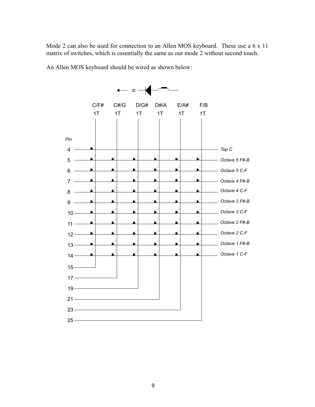Mode 2 can also be used for connection to an Allen MOS keyboard. These use a 6 x 11 matrix of switches, which is essentially the same as our mode 2 without second touch.

An Allen MOS keyboard should be wired as shown below:

![](_page_8_Figure_2.jpeg)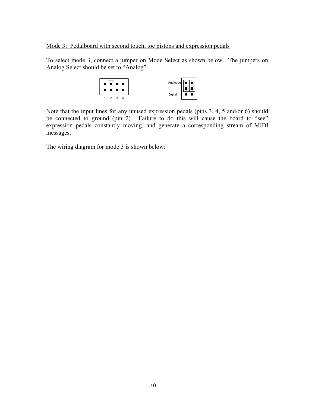Mode 3: Pedalboard with second touch, toe pistons and expression pedals

To select mode 3, connect a jumper on Mode Select as shown below. The jumpers on Analog Select should be set to "Analog".

![](_page_9_Figure_2.jpeg)

Note that the input lines for any unused expression pedals (pins 3, 4, 5 and/or 6) should be connected to ground (pin 2). Failure to do this will cause the board to "see" expression pedals constantly moving, and generate a corresponding stream of MIDI messages.

The wiring diagram for mode 3 is shown below: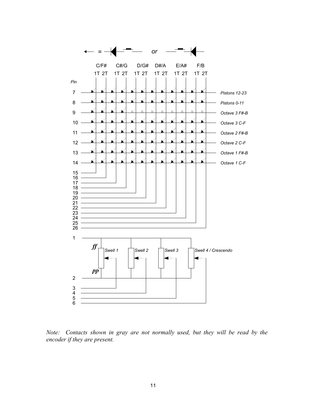![](_page_10_Figure_0.jpeg)

*Note: Contacts shown in gray are not normally used, but they will be read by the encoder if they are present.*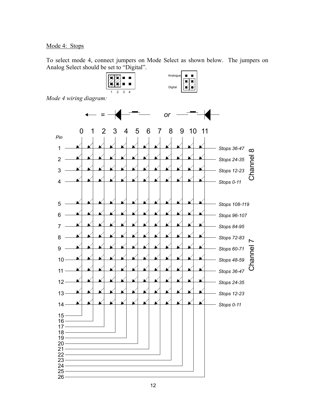## Mode 4: Stops

To select mode 4, connect jumpers on Mode Select as shown below. The jumpers on Analog Select should be set to "Digital".

![](_page_11_Figure_2.jpeg)

*Mode 4 wiring diagram:*

![](_page_11_Figure_4.jpeg)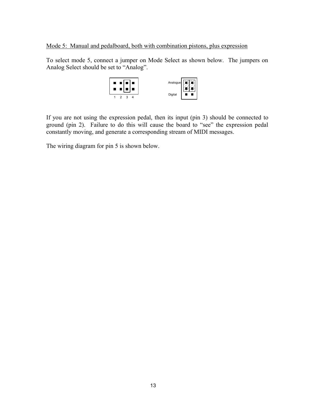### Mode 5: Manual and pedalboard, both with combination pistons, plus expression

To select mode 5, connect a jumper on Mode Select as shown below. The jumpers on Analog Select should be set to "Analog".

![](_page_12_Figure_2.jpeg)

If you are not using the expression pedal, then its input (pin 3) should be connected to ground (pin 2). Failure to do this will cause the board to "see" the expression pedal constantly moving, and generate a corresponding stream of MIDI messages.

The wiring diagram for pin 5 is shown below.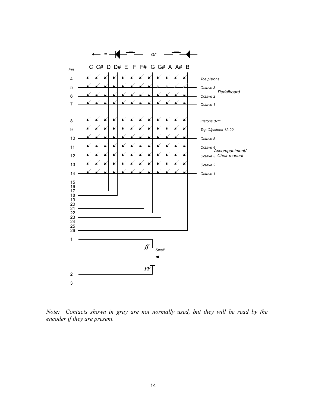![](_page_13_Figure_0.jpeg)

*Note: Contacts shown in gray are not normally used, but they will be read by the encoder if they are present.*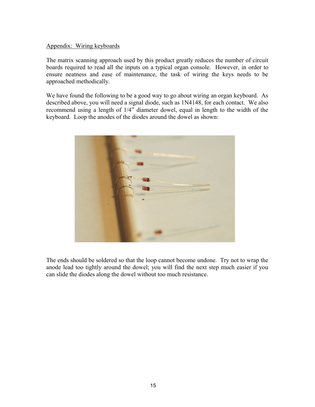#### Appendix: Wiring keyboards

The matrix scanning approach used by this product greatly reduces the number of circuit boards required to read all the inputs on a typical organ console. However, in order to ensure neatness and ease of maintenance, the task of wiring the keys needs to be approached methodically.

We have found the following to be a good way to go about wiring an organ keyboard. As described above, you will need a signal diode, such as 1N4148, for each contact. We also recommend using a length of 1/4" diameter dowel, equal in length to the width of the keyboard. Loop the anodes of the diodes around the dowel as shown:

![](_page_14_Picture_3.jpeg)

The ends should be soldered so that the loop cannot become undone. Try not to wrap the anode lead too tightly around the dowel; you will find the next step much easier if you can slide the diodes along the dowel without too much resistance.